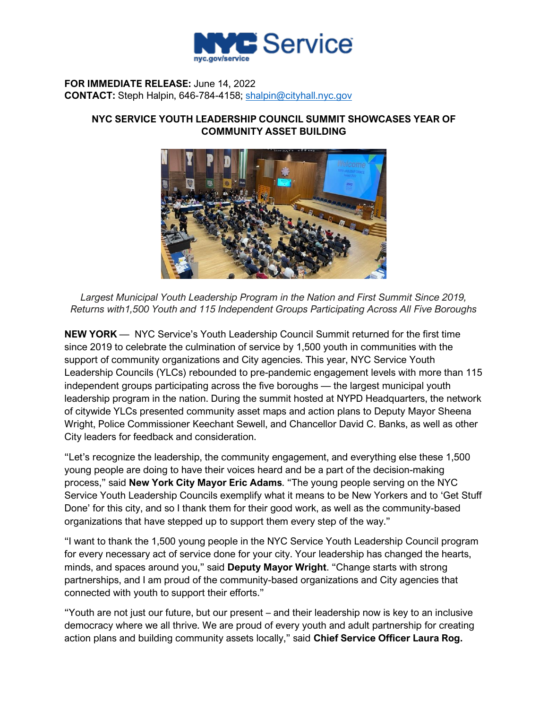

## **FOR IMMEDIATE RELEASE:** June 14, 2022 **CONTACT:** Steph Halpin, 646-784-4158; [shalpin@cityhall.nyc.gov](mailto:shalpin@cityhall.nyc.gov)

## **NYC SERVICE YOUTH LEADERSHIP COUNCIL SUMMIT SHOWCASES YEAR OF COMMUNITY ASSET BUILDING**



Largest Municipal Youth Leadership Program in the Nation and First Summit Since 2019. *Returns with1,500 Youth and 115 Independent Groups Participating Across All Five Boroughs*

**NEW YORK** — NYC Service's Youth Leadership Council Summit returned for the first time since 2019 to celebrate the culmination of service by 1,500 youth in communities with the support of community organizations and City agencies. This year, NYC Service Youth Leadership Councils (YLCs) rebounded to pre-pandemic engagement levels with more than 115 independent groups participating across the five boroughs — the largest municipal youth leadership program in the nation. During the summit hosted at NYPD Headquarters, the network of citywide YLCs presented community asset maps and action plans to Deputy Mayor Sheena Wright, Police Commissioner Keechant Sewell, and Chancellor David C. Banks, as well as other City leaders for feedback and consideration.

"Let's recognize the leadership, the community engagement, and everything else these 1,500 young people are doing to have their voices heard and be a part of the decision-making process," said **New York City Mayor Eric Adams**. "The young people serving on the NYC Service Youth Leadership Councils exemplify what it means to be New Yorkers and to 'Get Stuff Done' for this city, and so I thank them for their good work, as well as the community-based organizations that have stepped up to support them every step of the way."

"I want to thank the 1,500 young people in the NYC Service Youth Leadership Council program for every necessary act of service done for your city. Your leadership has changed the hearts, minds, and spaces around you," said **Deputy Mayor Wright**. "Change starts with strong partnerships, and I am proud of the community-based organizations and City agencies that connected with youth to support their efforts."

"Youth are not just our future, but our present – and their leadership now is key to an inclusive democracy where we all thrive. We are proud of every youth and adult partnership for creating action plans and building community assets locally," said **Chief Service Officer Laura Rog.**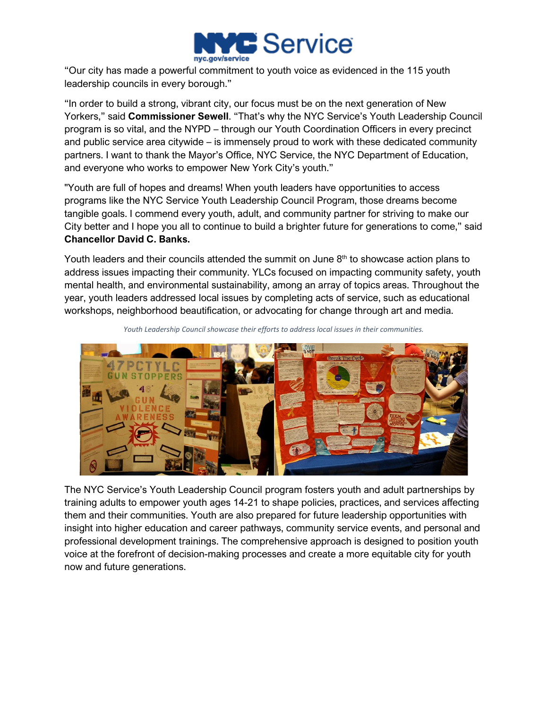

"Our city has made a powerful commitment to youth voice as evidenced in the 115 youth leadership councils in every borough."

"In order to build a strong, vibrant city, our focus must be on the next generation of New Yorkers," said **Commissioner Sewell**. "That's why the NYC Service's Youth Leadership Council program is so vital, and the NYPD – through our Youth Coordination Officers in every precinct and public service area citywide – is immensely proud to work with these dedicated community partners. I want to thank the Mayor's Office, NYC Service, the NYC Department of Education, and everyone who works to empower New York City's youth."

"Youth are full of hopes and dreams! When youth leaders have opportunities to access programs like the NYC Service Youth Leadership Council Program, those dreams become tangible goals. I commend every youth, adult, and community partner for striving to make our City better and I hope you all to continue to build a brighter future for generations to come," said **Chancellor David C. Banks.**

Youth leaders and their councils attended the summit on June  $8<sup>th</sup>$  to showcase action plans to address issues impacting their community. YLCs focused on impacting community safety, youth mental health, and environmental sustainability, among an array of topics areas. Throughout the year, youth leaders addressed local issues by completing acts of service, such as educational workshops, neighborhood beautification, or advocating for change through art and media.



*Youth Leadership Council showcase their efforts to address local issues in their communities.*

The NYC Service's Youth Leadership Council program fosters youth and adult partnerships by training adults to empower youth ages 14-21 to shape policies, practices, and services affecting them and their communities. Youth are also prepared for future leadership opportunities with insight into higher education and career pathways, community service events, and personal and professional development trainings. The comprehensive approach is designed to position youth voice at the forefront of decision-making processes and create a more equitable city for youth now and future generations.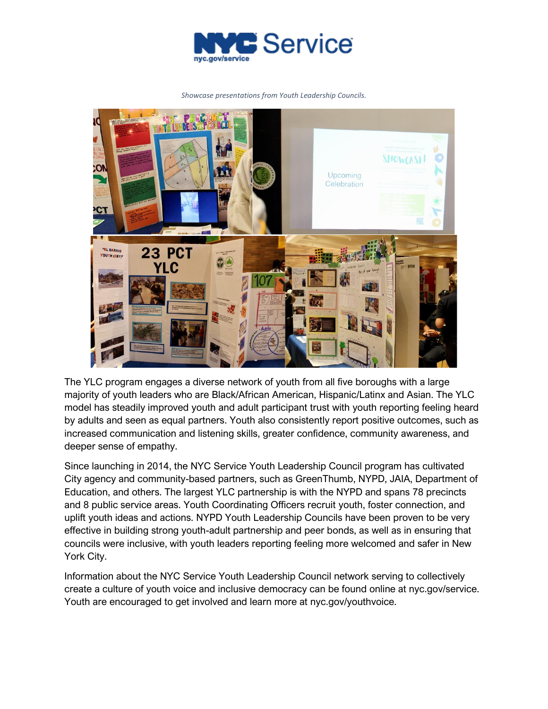

*Showcase presentations from Youth Leadership Councils.*



The YLC program engages a diverse network of youth from all five boroughs with a large majority of youth leaders who are Black/African American, Hispanic/Latinx and Asian. The YLC model has steadily improved youth and adult participant trust with youth reporting feeling heard by adults and seen as equal partners. Youth also consistently report positive outcomes, such as increased communication and listening skills, greater confidence, community awareness, and deeper sense of empathy.

Since launching in 2014, the NYC Service Youth Leadership Council program has cultivated City agency and community-based partners, such as GreenThumb, NYPD, JAIA, Department of Education, and others. The largest YLC partnership is with the NYPD and spans 78 precincts and 8 public service areas. Youth Coordinating Officers recruit youth, foster connection, and uplift youth ideas and actions. NYPD Youth Leadership Councils have been proven to be very effective in building strong youth-adult partnership and peer bonds, as well as in ensuring that councils were inclusive, with youth leaders reporting feeling more welcomed and safer in New York City.

Information about the NYC Service Youth Leadership Council network serving to collectively create a culture of youth voice and inclusive democracy can be found online at nyc.gov/service. Youth are encouraged to get involved and learn more at nyc.gov/youthvoice.